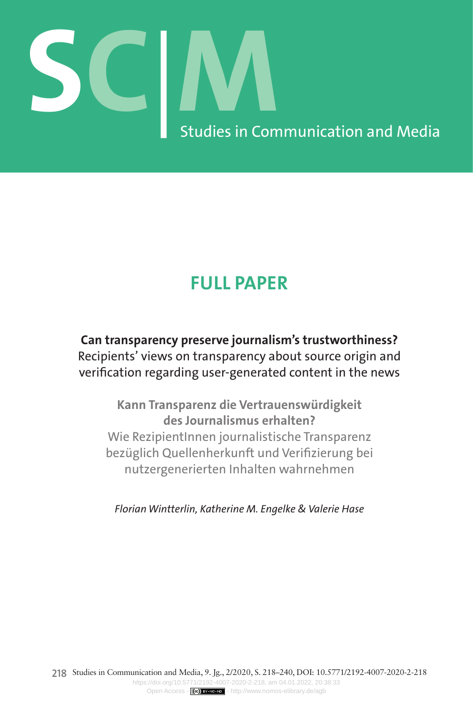# **SC**|**M** Studies in Communication and Media

# **FULL PAPER**

**Can transparency preserve journalism's trustworthiness?**  Recipients' views on transparency about source origin and verification regarding user-generated content in the news

**Kann Transparenz die Vertrauenswürdigkeit des Journalismus erhalten?**  Wie RezipientInnen journalistische Transparenz bezüglich Quellenherkunft und Verifizierung bei nutzergenerierten Inhalten wahrnehmen

*Florian Wintterlin, Katherine M. Engelke & Valerie Hase*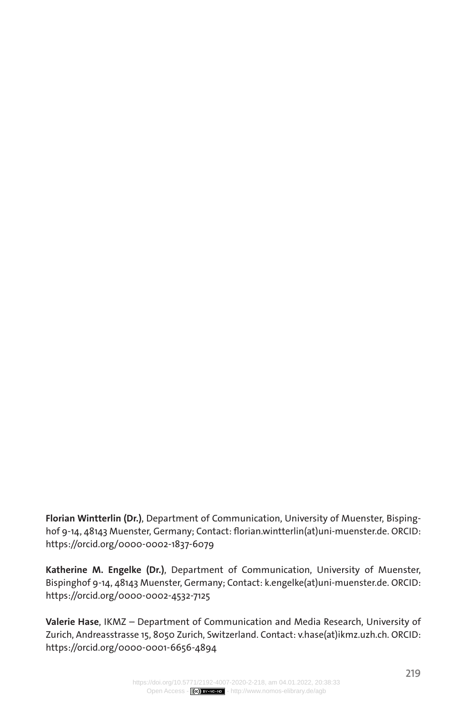**Florian Wintterlin (Dr.)**, Department of Communication, University of Muenster, Bispinghof 9-14, 48143 Muenster, Germany; Contact: [florian.wintterlin\(at\)uni-muenster.de.](mailto:florian.wintterlin%28at%29uni-muenster.de?subject=) ORCID: <https://orcid.org/0000-0002-1837-6079>

**Katherine M. Engelke (Dr.)**, Department of Communication, University of Muenster, Bispinghof 9-14, 48143 Muenster, Germany; Contact: [k.engelke\(at\)uni-muenster.de.](mailto:k.engelke%40uni-muenster.de?subject=) ORCID: <https://orcid.org/0000-0002-4532-7125>

**Valerie Hase**, IKMZ – Department of Communication and Media Research, University of Zurich, Andreasstrasse 15, 8050 Zurich, Switzerland. Contact: [v.hase\(at\)ikmz.uzh.ch.](mailto:v.hase%40ikmz.uzh.ch?subject=) ORCID: <https://orcid.org/0000-0001-6656-4894>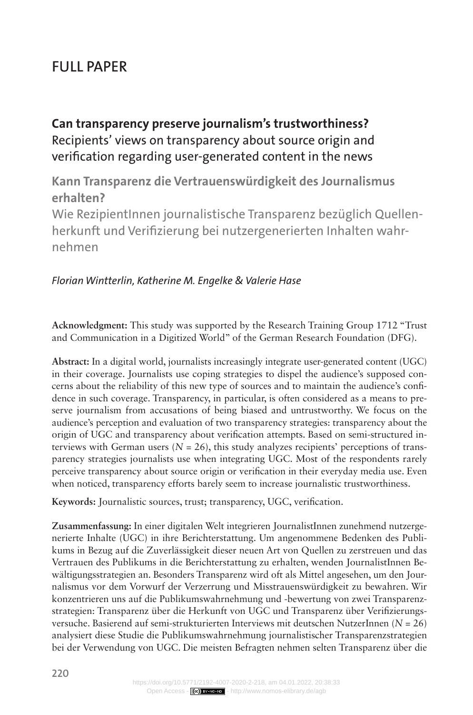# Full Paper

**Can transparency preserve journalism's trustworthiness?**  Recipients' views on transparency about source origin and verification regarding user-generated content in the news

**Kann Transparenz die Vertrauenswürdigkeit des Journalismus erhalten?** 

Wie RezipientInnen journalistische Transparenz bezüglich Quellenherkunft und Verifizierung bei nutzergenerierten Inhalten wahrnehmen

# *Florian Wintterlin, Katherine M. Engelke & Valerie Hase*

**Acknowledgment:** This study was supported by the Research Training Group 1712 "Trust and Communication in a Digitized World" of the German Research Foundation (DFG).

**Abstract:** In a digital world, journalists increasingly integrate user-generated content (UGC) in their coverage. Journalists use coping strategies to dispel the audience's supposed concerns about the reliability of this new type of sources and to maintain the audience's confidence in such coverage. Transparency, in particular, is often considered as a means to preserve journalism from accusations of being biased and untrustworthy. We focus on the audience's perception and evaluation of two transparency strategies: transparency about the origin of UGC and transparency about verification attempts. Based on semi-structured interviews with German users ( $N = 26$ ), this study analyzes recipients' perceptions of transparency strategies journalists use when integrating UGC. Most of the respondents rarely perceive transparency about source origin or verification in their everyday media use. Even when noticed, transparency efforts barely seem to increase journalistic trustworthiness.

**Keywords:** Journalistic sources, trust; transparency, UGC, verification.

**Zusammenfassung:** In einer digitalen Welt integrieren JournalistInnen zunehmend nutzergenerierte Inhalte (UGC) in ihre Berichterstattung. Um angenommene Bedenken des Publikums in Bezug auf die Zuverlässigkeit dieser neuen Art von Quellen zu zerstreuen und das Vertrauen des Publikums in die Berichterstattung zu erhalten, wenden JournalistInnen Bewältigungsstrategien an. Besonders Transparenz wird oft als Mittel angesehen, um den Journalismus vor dem Vorwurf der Verzerrung und Misstrauenswürdigkeit zu bewahren. Wir konzentrieren uns auf die Publikumswahrnehmung und -bewertung von zwei Transparenzstrategien: Transparenz über die Herkunft von UGC und Transparenz über Verifizierungsversuche. Basierend auf semi-strukturierten Interviews mit deutschen NutzerInnen (*N* = 26) analysiert diese Studie die Publikumswahrnehmung journalistischer Transparenzstrategien bei der Verwendung von UGC. Die meisten Befragten nehmen selten Transparenz über die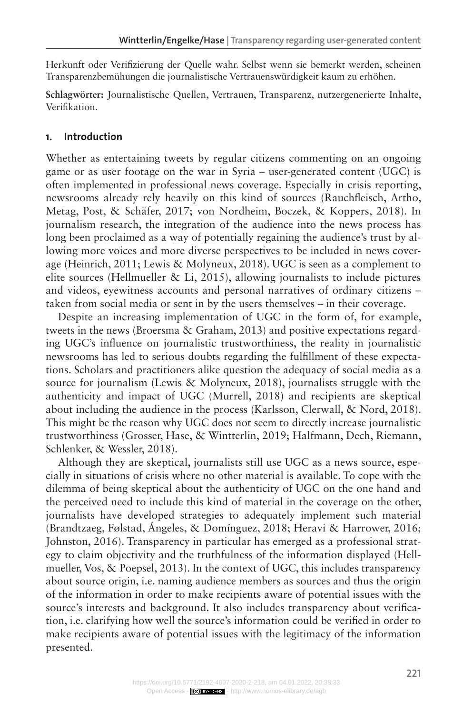Herkunft oder Verifizierung der Quelle wahr. Selbst wenn sie bemerkt werden, scheinen Transparenzbemühungen die journalistische Vertrauenswürdigkeit kaum zu erhöhen.

**Schlagwörter:** Journalistische Quellen, Vertrauen, Transparenz, nutzergenerierte Inhalte, Verifikation.

### **1. Introduction**

Whether as entertaining tweets by regular citizens commenting on an ongoing game or as user footage on the war in Syria – user-generated content (UGC) is often implemented in professional news coverage. Especially in crisis reporting, newsrooms already rely heavily on this kind of sources (Rauchfleisch, Artho, Metag, Post, & Schäfer, 2017; von Nordheim, Boczek, & Koppers, 2018). In journalism research, the integration of the audience into the news process has long been proclaimed as a way of potentially regaining the audience's trust by allowing more voices and more diverse perspectives to be included in news coverage (Heinrich, 2011; Lewis & Molyneux, 2018). UGC is seen as a complement to elite sources (Hellmueller & Li, 2015), allowing journalists to include pictures and videos, eyewitness accounts and personal narratives of ordinary citizens – taken from social media or sent in by the users themselves – in their coverage.

Despite an increasing implementation of UGC in the form of, for example, tweets in the news (Broersma & Graham, 2013) and positive expectations regarding UGC's influence on journalistic trustworthiness, the reality in journalistic newsrooms has led to serious doubts regarding the fulfillment of these expectations. Scholars and practitioners alike question the adequacy of social media as a source for journalism (Lewis & Molyneux, 2018), journalists struggle with the authenticity and impact of UGC (Murrell, 2018) and recipients are skeptical about including the audience in the process (Karlsson, Clerwall, & Nord, 2018). This might be the reason why UGC does not seem to directly increase journalistic trustworthiness (Grosser, Hase, & Wintterlin, 2019; Halfmann, Dech, Riemann, Schlenker, & Wessler, 2018).

Although they are skeptical, journalists still use UGC as a news source, especially in situations of crisis where no other material is available. To cope with the dilemma of being skeptical about the authenticity of UGC on the one hand and the perceived need to include this kind of material in the coverage on the other, journalists have developed strategies to adequately implement such material (Brandtzaeg, Følstad, Ángeles, & Domínguez, 2018; Heravi & Harrower, 2016; Johnston, 2016). Transparency in particular has emerged as a professional strategy to claim objectivity and the truthfulness of the information displayed (Hellmueller, Vos, & Poepsel, 2013). In the context of UGC, this includes transparency about source origin, i.e. naming audience members as sources and thus the origin of the information in order to make recipients aware of potential issues with the source's interests and background. It also includes transparency about verification, i.e. clarifying how well the source's information could be verified in order to make recipients aware of potential issues with the legitimacy of the information presented.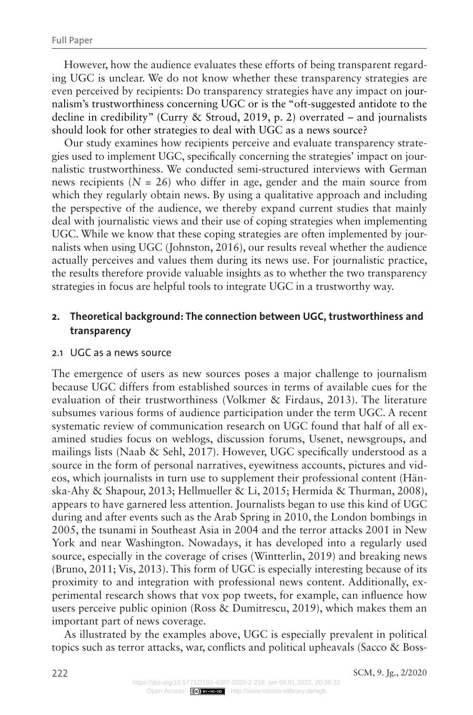However, how the audience evaluates these efforts of being transparent regarding UGC is unclear. We do not know whether these transparency strategies are even perceived by recipients: Do transparency strategies have any impact on journalism's trustworthiness concerning UGC or is the "oft-suggested antidote to the decline in credibility" (Curry & Stroud, 2019, p. 2) overrated – and journalists should look for other strategies to deal with UGC as a news source?

Our study examines how recipients perceive and evaluate transparency strategies used to implement UGC, specifically concerning the strategies' impact on journalistic trustworthiness. We conducted semi-structured interviews with German news recipients  $(N = 26)$  who differ in age, gender and the main source from which they regularly obtain news. By using a qualitative approach and including the perspective of the audience, we thereby expand current studies that mainly deal with journalistic views and their use of coping strategies when implementing UGC. While we know that these coping strategies are often implemented by journalists when using UGC (Johnston, 2016), our results reveal whether the audience actually perceives and values them during its news use. For journalistic practice, the results therefore provide valuable insights as to whether the two transparency strategies in focus are helpful tools to integrate UGC in a trustworthy way.

# **2. Theoretical background: The connection between UGC, trustworthiness and transparency**

#### 2.1 UGC as a news source

The emergence of users as new sources poses a major challenge to journalism because UGC differs from established sources in terms of available cues for the evaluation of their trustworthiness (Volkmer & Firdaus, 2013). The literature subsumes various forms of audience participation under the term UGC. A recent systematic review of communication research on UGC found that half of all examined studies focus on weblogs, discussion forums, Usenet, newsgroups, and mailings lists (Naab & Sehl, 2017). However, UGC specifically understood as a source in the form of personal narratives, eyewitness accounts, pictures and videos, which journalists in turn use to supplement their professional content (Hänska-Ahy & Shapour, 2013; Hellmueller & Li, 2015; Hermida & Thurman, 2008), appears to have garnered less attention. Journalists began to use this kind of UGC during and after events such as the Arab Spring in 2010, the London bombings in 2005, the tsunami in Southeast Asia in 2004 and the terror attacks 2001 in New York and near Washington. Nowadays, it has developed into a regularly used source, especially in the coverage of crises (Wintterlin, 2019) and breaking news (Bruno, 2011; Vis, 2013). This form of UGC is especially interesting because of its proximity to and integration with professional news content. Additionally, experimental research shows that vox pop tweets, for example, can influence how users perceive public opinion (Ross & Dumitrescu, 2019), which makes them an important part of news coverage.

As illustrated by the examples above, UGC is especially prevalent in political topics such as terror attacks, war, conflicts and political upheavals (Sacco & Boss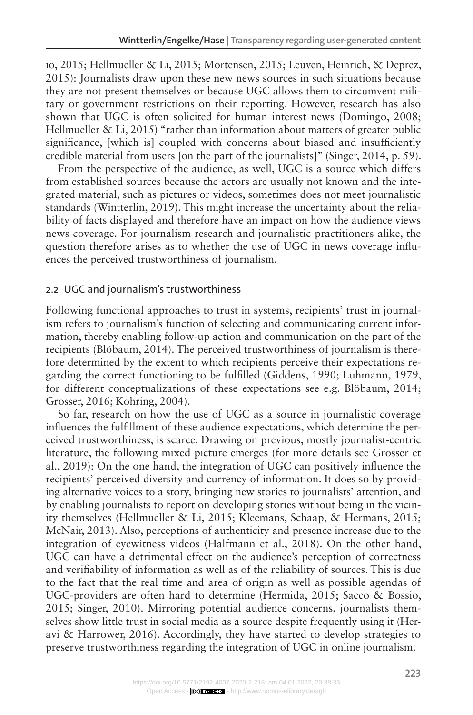io, 2015; Hellmueller & Li, 2015; Mortensen, 2015; Leuven, Heinrich, & Deprez, 2015): Journalists draw upon these new news sources in such situations because they are not present themselves or because UGC allows them to circumvent military or government restrictions on their reporting. However, research has also shown that UGC is often solicited for human interest news (Domingo, 2008; Hellmueller & Li, 2015) "rather than information about matters of greater public significance, [which is] coupled with concerns about biased and insufficiently credible material from users [on the part of the journalists]" (Singer, 2014, p. 59).

From the perspective of the audience, as well, UGC is a source which differs from established sources because the actors are usually not known and the integrated material, such as pictures or videos, sometimes does not meet journalistic standards (Wintterlin, 2019). This might increase the uncertainty about the reliability of facts displayed and therefore have an impact on how the audience views news coverage. For journalism research and journalistic practitioners alike, the question therefore arises as to whether the use of UGC in news coverage influences the perceived trustworthiness of journalism.

#### 2.2 UGC and journalism's trustworthiness

Following functional approaches to trust in systems, recipients' trust in journalism refers to journalism's function of selecting and communicating current information, thereby enabling follow-up action and communication on the part of the recipients (Blöbaum, 2014). The perceived trustworthiness of journalism is therefore determined by the extent to which recipients perceive their expectations regarding the correct functioning to be fulfilled (Giddens, 1990; Luhmann, 1979, for different conceptualizations of these expectations see e.g. Blöbaum, 2014; Grosser, 2016; Kohring, 2004).

So far, research on how the use of UGC as a source in journalistic coverage influences the fulfillment of these audience expectations, which determine the perceived trustworthiness, is scarce. Drawing on previous, mostly journalist-centric literature, the following mixed picture emerges (for more details see Grosser et al., 2019): On the one hand, the integration of UGC can positively influence the recipients' perceived diversity and currency of information. It does so by providing alternative voices to a story, bringing new stories to journalists' attention, and by enabling journalists to report on developing stories without being in the vicinity themselves (Hellmueller & Li, 2015; Kleemans, Schaap, & Hermans, 2015; McNair, 2013). Also, perceptions of authenticity and presence increase due to the integration of eyewitness videos (Halfmann et al., 2018). On the other hand, UGC can have a detrimental effect on the audience's perception of correctness and verifiability of information as well as of the reliability of sources. This is due to the fact that the real time and area of origin as well as possible agendas of UGC-providers are often hard to determine (Hermida, 2015; Sacco & Bossio, 2015; Singer, 2010). Mirroring potential audience concerns, journalists themselves show little trust in social media as a source despite frequently using it (Heravi & Harrower, 2016). Accordingly, they have started to develop strategies to preserve trustworthiness regarding the integration of UGC in online journalism.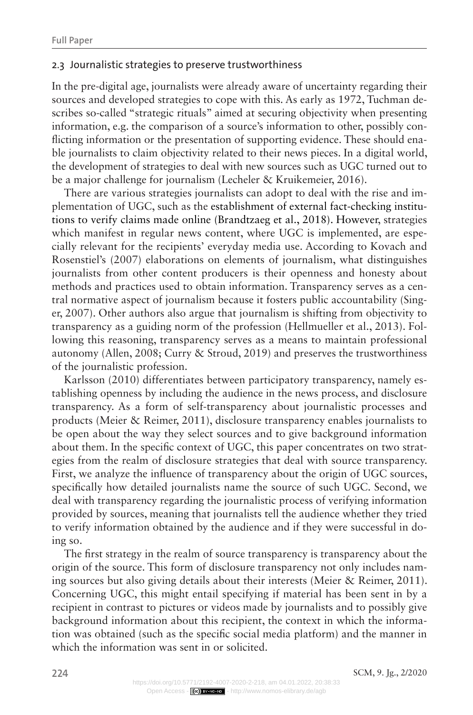#### 2.3 Journalistic strategies to preserve trustworthiness

In the pre-digital age, journalists were already aware of uncertainty regarding their sources and developed strategies to cope with this. As early as 1972, Tuchman describes so-called "strategic rituals" aimed at securing objectivity when presenting information, e.g. the comparison of a source's information to other, possibly conflicting information or the presentation of supporting evidence. These should enable journalists to claim objectivity related to their news pieces. In a digital world, the development of strategies to deal with new sources such as UGC turned out to be a major challenge for journalism (Lecheler & Kruikemeier, 2016).

There are various strategies journalists can adopt to deal with the rise and implementation of UGC, such as the establishment of external fact-checking institutions to verify claims made online (Brandtzaeg et al., 2018). However, strategies which manifest in regular news content, where UGC is implemented, are especially relevant for the recipients' everyday media use. According to Kovach and Rosenstiel's (2007) elaborations on elements of journalism, what distinguishes journalists from other content producers is their openness and honesty about methods and practices used to obtain information. Transparency serves as a central normative aspect of journalism because it fosters public accountability (Singer, 2007). Other authors also argue that journalism is shifting from objectivity to transparency as a guiding norm of the profession (Hellmueller et al., 2013). Following this reasoning, transparency serves as a means to maintain professional autonomy (Allen, 2008; Curry & Stroud, 2019) and preserves the trustworthiness of the journalistic profession.

Karlsson (2010) differentiates between participatory transparency, namely establishing openness by including the audience in the news process, and disclosure transparency. As a form of self-transparency about journalistic processes and products (Meier & Reimer, 2011), disclosure transparency enables journalists to be open about the way they select sources and to give background information about them. In the specific context of UGC, this paper concentrates on two strategies from the realm of disclosure strategies that deal with source transparency. First, we analyze the influence of transparency about the origin of UGC sources, specifically how detailed journalists name the source of such UGC. Second, we deal with transparency regarding the journalistic process of verifying information provided by sources, meaning that journalists tell the audience whether they tried to verify information obtained by the audience and if they were successful in doing so.

The first strategy in the realm of source transparency is transparency about the origin of the source. This form of disclosure transparency not only includes naming sources but also giving details about their interests (Meier & Reimer, 2011). Concerning UGC, this might entail specifying if material has been sent in by a recipient in contrast to pictures or videos made by journalists and to possibly give background information about this recipient, the context in which the information was obtained (such as the specific social media platform) and the manner in which the information was sent in or solicited.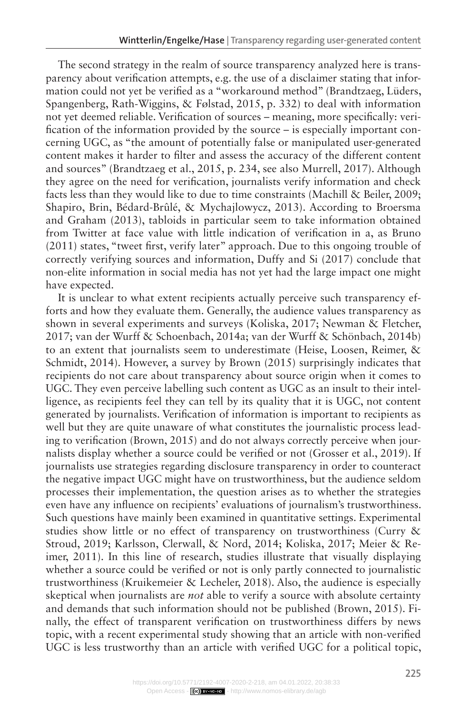The second strategy in the realm of source transparency analyzed here is transparency about verification attempts, e.g. the use of a disclaimer stating that information could not yet be verified as a "workaround method" (Brandtzaeg, Lüders, Spangenberg, Rath-Wiggins, & Følstad, 2015, p. 332) to deal with information not yet deemed reliable. Verification of sources – meaning, more specifically: verification of the information provided by the source – is especially important concerning UGC, as "the amount of potentially false or manipulated user-generated content makes it harder to filter and assess the accuracy of the different content and sources" (Brandtzaeg et al., 2015, p. 234, see also Murrell, 2017). Although they agree on the need for verification, journalists verify information and check facts less than they would like to due to time constraints (Machill & Beiler, 2009; Shapiro, Brin, Bédard-Brûlé, & Mychajlowycz, 2013). According to Broersma and Graham (2013), tabloids in particular seem to take information obtained from Twitter at face value with little indication of verification in a, as Bruno (2011) states, "tweet first, verify later" approach. Due to this ongoing trouble of correctly verifying sources and information, Duffy and Si (2017) conclude that non-elite information in social media has not yet had the large impact one might have expected.

It is unclear to what extent recipients actually perceive such transparency efforts and how they evaluate them. Generally, the audience values transparency as shown in several experiments and surveys (Koliska, 2017; Newman & Fletcher, 2017; van der Wurff & Schoenbach, 2014a; van der Wurff & Schönbach, 2014b) to an extent that journalists seem to underestimate (Heise, Loosen, Reimer, & Schmidt, 2014). However, a survey by Brown (2015) surprisingly indicates that recipients do not care about transparency about source origin when it comes to UGC. They even perceive labelling such content as UGC as an insult to their intelligence, as recipients feel they can tell by its quality that it is UGC, not content generated by journalists. Verification of information is important to recipients as well but they are quite unaware of what constitutes the journalistic process leading to verification (Brown, 2015) and do not always correctly perceive when journalists display whether a source could be verified or not (Grosser et al., 2019). If journalists use strategies regarding disclosure transparency in order to counteract the negative impact UGC might have on trustworthiness, but the audience seldom processes their implementation, the question arises as to whether the strategies even have any influence on recipients' evaluations of journalism's trustworthiness. Such questions have mainly been examined in quantitative settings. Experimental studies show little or no effect of transparency on trustworthiness (Curry & Stroud, 2019; Karlsson, Clerwall, & Nord, 2014; Koliska, 2017; Meier & Reimer, 2011). In this line of research, studies illustrate that visually displaying whether a source could be verified or not is only partly connected to journalistic trustworthiness (Kruikemeier & Lecheler, 2018). Also, the audience is especially skeptical when journalists are *not* able to verify a source with absolute certainty and demands that such information should not be published (Brown, 2015). Finally, the effect of transparent verification on trustworthiness differs by news topic, with a recent experimental study showing that an article with non-verified UGC is less trustworthy than an article with verified UGC for a political topic,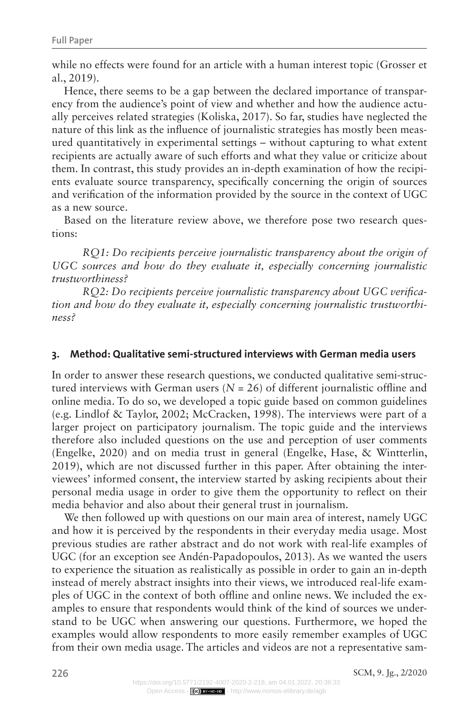while no effects were found for an article with a human interest topic (Grosser et al., 2019).

Hence, there seems to be a gap between the declared importance of transparency from the audience's point of view and whether and how the audience actually perceives related strategies (Koliska, 2017). So far, studies have neglected the nature of this link as the influence of journalistic strategies has mostly been measured quantitatively in experimental settings – without capturing to what extent recipients are actually aware of such efforts and what they value or criticize about them. In contrast, this study provides an in-depth examination of how the recipients evaluate source transparency, specifically concerning the origin of sources and verification of the information provided by the source in the context of UGC as a new source.

Based on the literature review above, we therefore pose two research questions:

*RQ1: Do recipients perceive journalistic transparency about the origin of UGC sources and how do they evaluate it, especially concerning journalistic trustworthiness?*

*RQ2: Do recipients perceive journalistic transparency about UGC verification and how do they evaluate it, especially concerning journalistic trustworthiness?*

#### **3. Method: Qualitative semi-structured interviews with German media users**

In order to answer these research questions, we conducted qualitative semi-structured interviews with German users  $(N = 26)$  of different journalistic offline and online media. To do so, we developed a topic guide based on common guidelines (e.g. Lindlof & Taylor, 2002; McCracken, 1998). The interviews were part of a larger project on participatory journalism. The topic guide and the interviews therefore also included questions on the use and perception of user comments (Engelke, 2020) and on media trust in general (Engelke, Hase, & Wintterlin, 2019), which are not discussed further in this paper. After obtaining the interviewees' informed consent, the interview started by asking recipients about their personal media usage in order to give them the opportunity to reflect on their media behavior and also about their general trust in journalism.

We then followed up with questions on our main area of interest, namely UGC and how it is perceived by the respondents in their everyday media usage. Most previous studies are rather abstract and do not work with real-life examples of UGC (for an exception see Andén-Papadopoulos, 2013). As we wanted the users to experience the situation as realistically as possible in order to gain an in-depth instead of merely abstract insights into their views, we introduced real-life examples of UGC in the context of both offline and online news. We included the examples to ensure that respondents would think of the kind of sources we understand to be UGC when answering our questions. Furthermore, we hoped the examples would allow respondents to more easily remember examples of UGC from their own media usage. The articles and videos are not a representative sam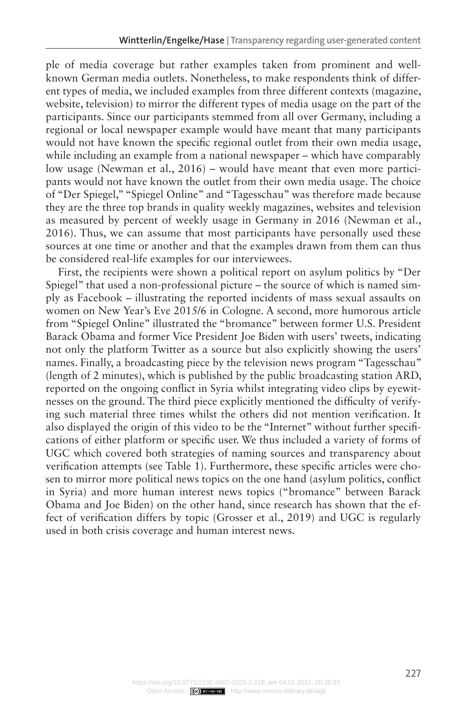ple of media coverage but rather examples taken from prominent and wellknown German media outlets. Nonetheless, to make respondents think of different types of media, we included examples from three different contexts (magazine, website, television) to mirror the different types of media usage on the part of the participants. Since our participants stemmed from all over Germany, including a regional or local newspaper example would have meant that many participants would not have known the specific regional outlet from their own media usage, while including an example from a national newspaper – which have comparably low usage (Newman et al., 2016) – would have meant that even more participants would not have known the outlet from their own media usage. The choice of "Der Spiegel," "Spiegel Online" and "Tagesschau" was therefore made because they are the three top brands in quality weekly magazines, websites and television as measured by percent of weekly usage in Germany in 2016 (Newman et al., 2016). Thus, we can assume that most participants have personally used these sources at one time or another and that the examples drawn from them can thus be considered real-life examples for our interviewees.

First, the recipients were shown a political report on asylum politics by "Der Spiegel" that used a non-professional picture – the source of which is named simply as Facebook – illustrating the reported incidents of mass sexual assaults on women on New Year's Eve 2015/6 in Cologne. A second, more humorous article from "Spiegel Online" illustrated the "bromance" between former U.S. President Barack Obama and former Vice President Joe Biden with users' tweets, indicating not only the platform Twitter as a source but also explicitly showing the users' names. Finally, a broadcasting piece by the television news program "Tagesschau" (length of 2 minutes), which is published by the public broadcasting station ARD, reported on the ongoing conflict in Syria whilst integrating video clips by eyewitnesses on the ground. The third piece explicitly mentioned the difficulty of verifying such material three times whilst the others did not mention verification. It also displayed the origin of this video to be the "Internet" without further specifications of either platform or specific user. We thus included a variety of forms of UGC which covered both strategies of naming sources and transparency about verification attempts (see Table 1). Furthermore, these specific articles were chosen to mirror more political news topics on the one hand (asylum politics, conflict in Syria) and more human interest news topics ("bromance" between Barack Obama and Joe Biden) on the other hand, since research has shown that the effect of verification differs by topic (Grosser et al., 2019) and UGC is regularly used in both crisis coverage and human interest news.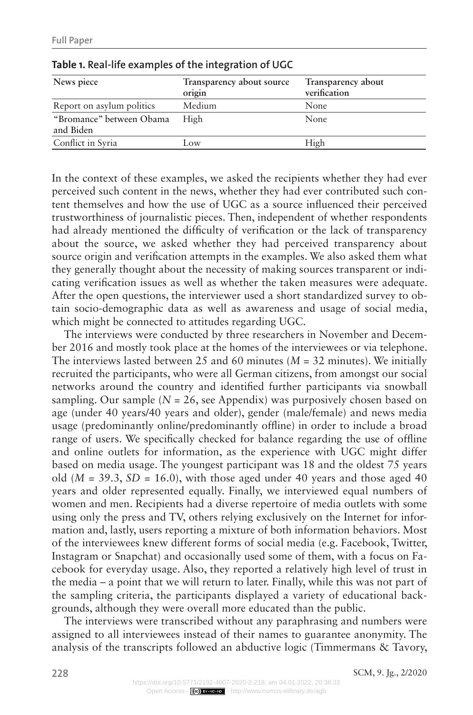| News piece                            | Transparency about source<br>origin | Transparency about<br>verification |
|---------------------------------------|-------------------------------------|------------------------------------|
| Report on asylum politics             | Medium                              | None                               |
| "Bromance" between Obama<br>and Biden | High                                | None                               |
| Conflict in Syria                     | Low                                 | High                               |

**Table 1. Real-life examples of the integration of UGC**

In the context of these examples, we asked the recipients whether they had ever perceived such content in the news, whether they had ever contributed such content themselves and how the use of UGC as a source influenced their perceived trustworthiness of journalistic pieces. Then, independent of whether respondents had already mentioned the difficulty of verification or the lack of transparency about the source, we asked whether they had perceived transparency about source origin and verification attempts in the examples. We also asked them what they generally thought about the necessity of making sources transparent or indicating verification issues as well as whether the taken measures were adequate. After the open questions, the interviewer used a short standardized survey to obtain socio-demographic data as well as awareness and usage of social media, which might be connected to attitudes regarding UGC.

The interviews were conducted by three researchers in November and December 2016 and mostly took place at the homes of the interviewees or via telephone. The interviews lasted between 25 and 60 minutes (*M* = 32 minutes). We initially recruited the participants, who were all German citizens, from amongst our social networks around the country and identified further participants via snowball sampling. Our sample  $(N = 26$ , see Appendix) was purposively chosen based on age (under 40 years/40 years and older), gender (male/female) and news media usage (predominantly online/predominantly offline) in order to include a broad range of users. We specifically checked for balance regarding the use of offline and online outlets for information, as the experience with UGC might differ based on media usage. The youngest participant was 18 and the oldest 75 years old  $(M = 39.3, SD = 16.0)$ , with those aged under 40 years and those aged 40 years and older represented equally. Finally, we interviewed equal numbers of women and men. Recipients had a diverse repertoire of media outlets with some using only the press and TV, others relying exclusively on the Internet for information and, lastly, users reporting a mixture of both information behaviors. Most of the interviewees knew different forms of social media (e.g. Facebook, Twitter, Instagram or Snapchat) and occasionally used some of them, with a focus on Facebook for everyday usage. Also, they reported a relatively high level of trust in the media – a point that we will return to later. Finally, while this was not part of the sampling criteria, the participants displayed a variety of educational backgrounds, although they were overall more educated than the public.

The interviews were transcribed without any paraphrasing and numbers were assigned to all interviewees instead of their names to guarantee anonymity. The analysis of the transcripts followed an abductive logic (Timmermans & Tavory,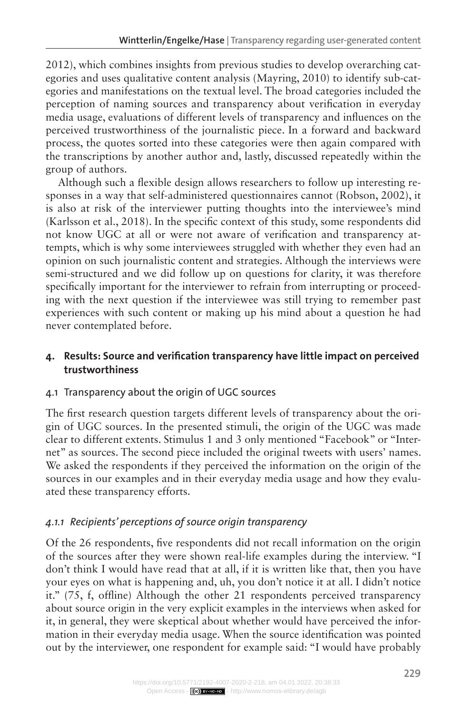2012), which combines insights from previous studies to develop overarching categories and uses qualitative content analysis (Mayring, 2010) to identify sub-categories and manifestations on the textual level. The broad categories included the perception of naming sources and transparency about verification in everyday media usage, evaluations of different levels of transparency and influences on the perceived trustworthiness of the journalistic piece. In a forward and backward process, the quotes sorted into these categories were then again compared with the transcriptions by another author and, lastly, discussed repeatedly within the group of authors.

Although such a flexible design allows researchers to follow up interesting responses in a way that self-administered questionnaires cannot (Robson, 2002), it is also at risk of the interviewer putting thoughts into the interviewee's mind (Karlsson et al., 2018). In the specific context of this study, some respondents did not know UGC at all or were not aware of verification and transparency attempts, which is why some interviewees struggled with whether they even had an opinion on such journalistic content and strategies. Although the interviews were semi-structured and we did follow up on questions for clarity, it was therefore specifically important for the interviewer to refrain from interrupting or proceeding with the next question if the interviewee was still trying to remember past experiences with such content or making up his mind about a question he had never contemplated before.

# **4. Results: Source and verification transparency have little impact on perceived trustworthiness**

# 4.1 Transparency about the origin of UGC sources

The first research question targets different levels of transparency about the origin of UGC sources. In the presented stimuli, the origin of the UGC was made clear to different extents. Stimulus 1 and 3 only mentioned "Facebook" or "Internet" as sources. The second piece included the original tweets with users' names. We asked the respondents if they perceived the information on the origin of the sources in our examples and in their everyday media usage and how they evaluated these transparency efforts.

# *4.1.1 Recipients' perceptions of source origin transparency*

Of the 26 respondents, five respondents did not recall information on the origin of the sources after they were shown real-life examples during the interview. "I don't think I would have read that at all, if it is written like that, then you have your eyes on what is happening and, uh, you don't notice it at all. I didn't notice it." (75, f, offline) Although the other 21 respondents perceived transparency about source origin in the very explicit examples in the interviews when asked for it, in general, they were skeptical about whether would have perceived the information in their everyday media usage. When the source identification was pointed out by the interviewer, one respondent for example said: "I would have probably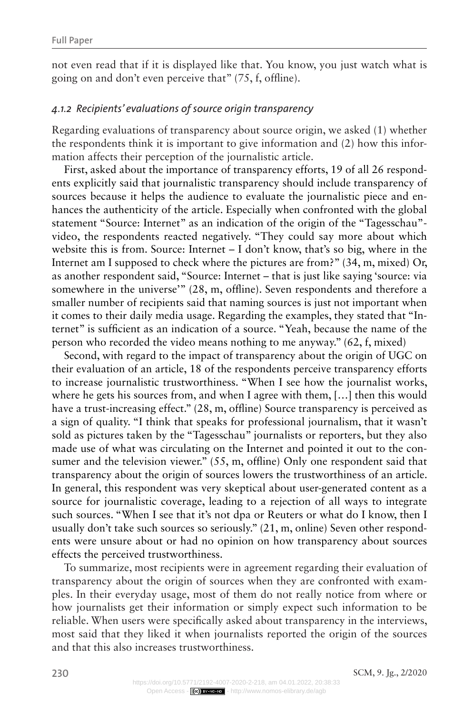not even read that if it is displayed like that. You know, you just watch what is going on and don't even perceive that" (75, f, offline).

#### *4.1.2 Recipients' evaluations of source origin transparency*

Regarding evaluations of transparency about source origin, we asked (1) whether the respondents think it is important to give information and (2) how this information affects their perception of the journalistic article.

First, asked about the importance of transparency efforts, 19 of all 26 respondents explicitly said that journalistic transparency should include transparency of sources because it helps the audience to evaluate the journalistic piece and enhances the authenticity of the article. Especially when confronted with the global statement "Source: Internet" as an indication of the origin of the "Tagesschau" video, the respondents reacted negatively. "They could say more about which website this is from. Source: Internet – I don't know, that's so big, where in the Internet am I supposed to check where the pictures are from?" (34, m, mixed) Or, as another respondent said, "Source: Internet – that is just like saying 'source: via somewhere in the universe'" (28, m, offline). Seven respondents and therefore a smaller number of recipients said that naming sources is just not important when it comes to their daily media usage. Regarding the examples, they stated that "Internet" is sufficient as an indication of a source. "Yeah, because the name of the person who recorded the video means nothing to me anyway." (62, f, mixed)

Second, with regard to the impact of transparency about the origin of UGC on their evaluation of an article, 18 of the respondents perceive transparency efforts to increase journalistic trustworthiness. "When I see how the journalist works, where he gets his sources from, and when I agree with them, […] then this would have a trust-increasing effect." (28, m, offline) Source transparency is perceived as a sign of quality. "I think that speaks for professional journalism, that it wasn't sold as pictures taken by the "Tagesschau" journalists or reporters, but they also made use of what was circulating on the Internet and pointed it out to the consumer and the television viewer." (55, m, offline) Only one respondent said that transparency about the origin of sources lowers the trustworthiness of an article. In general, this respondent was very skeptical about user-generated content as a source for journalistic coverage, leading to a rejection of all ways to integrate such sources. "When I see that it's not dpa or Reuters or what do I know, then I usually don't take such sources so seriously." (21, m, online) Seven other respondents were unsure about or had no opinion on how transparency about sources effects the perceived trustworthiness.

To summarize, most recipients were in agreement regarding their evaluation of transparency about the origin of sources when they are confronted with examples. In their everyday usage, most of them do not really notice from where or how journalists get their information or simply expect such information to be reliable. When users were specifically asked about transparency in the interviews, most said that they liked it when journalists reported the origin of the sources and that this also increases trustworthiness.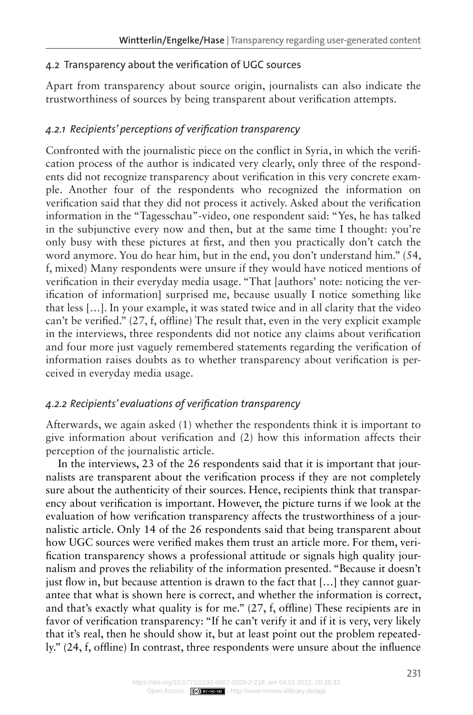# 4.2 Transparency about the verification of UGC sources

Apart from transparency about source origin, journalists can also indicate the trustworthiness of sources by being transparent about verification attempts.

# *4.2.1 Recipients' perceptions of verification transparency*

Confronted with the journalistic piece on the conflict in Syria, in which the verification process of the author is indicated very clearly, only three of the respondents did not recognize transparency about verification in this very concrete example. Another four of the respondents who recognized the information on verification said that they did not process it actively. Asked about the verification information in the "Tagesschau"-video, one respondent said: "Yes, he has talked in the subjunctive every now and then, but at the same time I thought: you're only busy with these pictures at first, and then you practically don't catch the word anymore. You do hear him, but in the end, you don't understand him." (54, f, mixed) Many respondents were unsure if they would have noticed mentions of verification in their everyday media usage. "That [authors' note: noticing the verification of information] surprised me, because usually I notice something like that less […]. In your example, it was stated twice and in all clarity that the video can't be verified." (27, f, offline) The result that, even in the very explicit example in the interviews, three respondents did not notice any claims about verification and four more just vaguely remembered statements regarding the verification of information raises doubts as to whether transparency about verification is perceived in everyday media usage.

# *4.2.2 Recipients' evaluations of verification transparency*

Afterwards, we again asked (1) whether the respondents think it is important to give information about verification and (2) how this information affects their perception of the journalistic article.

In the interviews, 23 of the 26 respondents said that it is important that journalists are transparent about the verification process if they are not completely sure about the authenticity of their sources. Hence, recipients think that transparency about verification is important. However, the picture turns if we look at the evaluation of how verification transparency affects the trustworthiness of a journalistic article. Only 14 of the 26 respondents said that being transparent about how UGC sources were verified makes them trust an article more. For them, verification transparency shows a professional attitude or signals high quality journalism and proves the reliability of the information presented. "Because it doesn't just flow in, but because attention is drawn to the fact that […] they cannot guarantee that what is shown here is correct, and whether the information is correct, and that's exactly what quality is for me."  $(27, f,$  offline) These recipients are in favor of verification transparency: "If he can't verify it and if it is very, very likely that it's real, then he should show it, but at least point out the problem repeatedly." (24, f, offline) In contrast, three respondents were unsure about the influence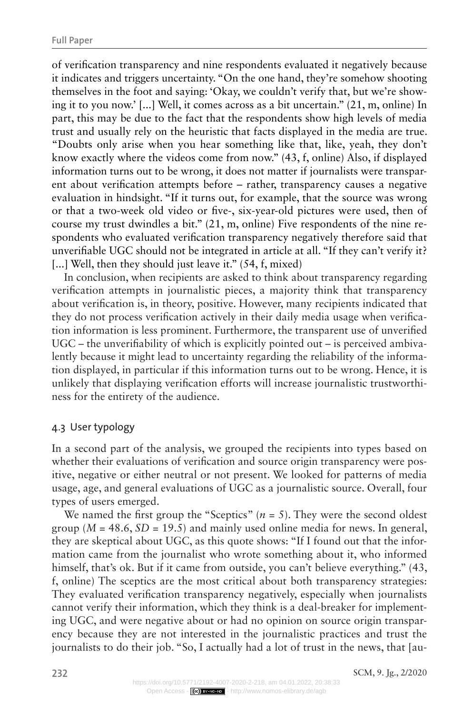of verification transparency and nine respondents evaluated it negatively because it indicates and triggers uncertainty. "On the one hand, they're somehow shooting themselves in the foot and saying: 'Okay, we couldn't verify that, but we're showing it to you now.' [...] Well, it comes across as a bit uncertain." (21, m, online) In part, this may be due to the fact that the respondents show high levels of media trust and usually rely on the heuristic that facts displayed in the media are true. "Doubts only arise when you hear something like that, like, yeah, they don't know exactly where the videos come from now." (43, f, online) Also, if displayed information turns out to be wrong, it does not matter if journalists were transparent about verification attempts before – rather, transparency causes a negative evaluation in hindsight. "If it turns out, for example, that the source was wrong or that a two-week old video or five-, six-year-old pictures were used, then of course my trust dwindles a bit." (21, m, online) Five respondents of the nine respondents who evaluated verification transparency negatively therefore said that unverifiable UGC should not be integrated in article at all. "If they can't verify it? [...] Well, then they should just leave it." (54, f, mixed)

In conclusion, when recipients are asked to think about transparency regarding verification attempts in journalistic pieces, a majority think that transparency about verification is, in theory, positive. However, many recipients indicated that they do not process verification actively in their daily media usage when verification information is less prominent. Furthermore, the transparent use of unverified UGC – the unverifiability of which is explicitly pointed out – is perceived ambivalently because it might lead to uncertainty regarding the reliability of the information displayed, in particular if this information turns out to be wrong. Hence, it is unlikely that displaying verification efforts will increase journalistic trustworthiness for the entirety of the audience.

#### 4.3 User typology

In a second part of the analysis, we grouped the recipients into types based on whether their evaluations of verification and source origin transparency were positive, negative or either neutral or not present. We looked for patterns of media usage, age, and general evaluations of UGC as a journalistic source. Overall, four types of users emerged.

We named the first group the "Sceptics"  $(n = 5)$ . They were the second oldest group  $(M = 48.6, SD = 19.5)$  and mainly used online media for news. In general, they are skeptical about UGC, as this quote shows: "If I found out that the information came from the journalist who wrote something about it, who informed himself, that's ok. But if it came from outside, you can't believe everything." (43, f, online) The sceptics are the most critical about both transparency strategies: They evaluated verification transparency negatively, especially when journalists cannot verify their information, which they think is a deal-breaker for implementing UGC, and were negative about or had no opinion on source origin transparency because they are not interested in the journalistic practices and trust the journalists to do their job. "So, I actually had a lot of trust in the news, that [au-

**232** SCM, 9. Jg., 2/2020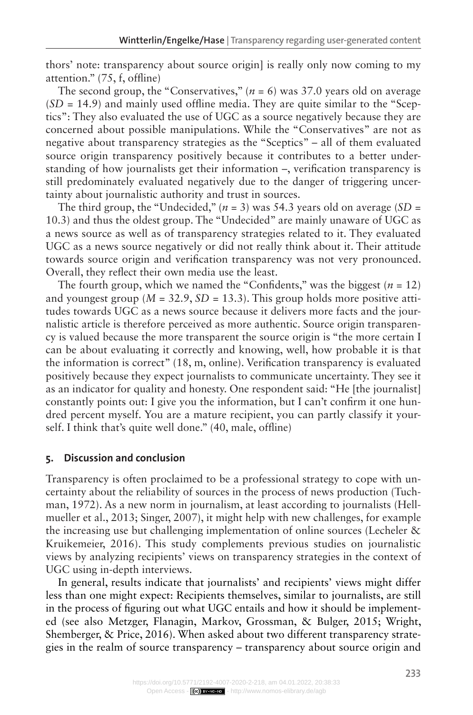thors' note: transparency about source origin] is really only now coming to my attention." (75, f, offline)

The second group, the "Conservatives,"  $(n = 6)$  was 37.0 years old on average  $(SD = 14.9)$  and mainly used offline media. They are quite similar to the "Sceptics": They also evaluated the use of UGC as a source negatively because they are concerned about possible manipulations. While the "Conservatives" are not as negative about transparency strategies as the "Sceptics" – all of them evaluated source origin transparency positively because it contributes to a better understanding of how journalists get their information –, verification transparency is still predominately evaluated negatively due to the danger of triggering uncertainty about journalistic authority and trust in sources.

The third group, the "Undecided," ( $n = 3$ ) was 54.3 years old on average (*SD* = 10.3) and thus the oldest group. The "Undecided" are mainly unaware of UGC as a news source as well as of transparency strategies related to it. They evaluated UGC as a news source negatively or did not really think about it. Their attitude towards source origin and verification transparency was not very pronounced. Overall, they reflect their own media use the least.

The fourth group, which we named the "Confidents," was the biggest  $(n = 12)$ and youngest group ( $M = 32.9$ ,  $SD = 13.3$ ). This group holds more positive attitudes towards UGC as a news source because it delivers more facts and the journalistic article is therefore perceived as more authentic. Source origin transparency is valued because the more transparent the source origin is "the more certain I can be about evaluating it correctly and knowing, well, how probable it is that the information is correct" (18, m, online). Verification transparency is evaluated positively because they expect journalists to communicate uncertainty. They see it as an indicator for quality and honesty. One respondent said: "He [the journalist] constantly points out: I give you the information, but I can't confirm it one hundred percent myself. You are a mature recipient, you can partly classify it yourself. I think that's quite well done." (40, male, offline)

#### **5. Discussion and conclusion**

Transparency is often proclaimed to be a professional strategy to cope with uncertainty about the reliability of sources in the process of news production (Tuchman, 1972). As a new norm in journalism, at least according to journalists (Hellmueller et al., 2013; Singer, 2007), it might help with new challenges, for example the increasing use but challenging implementation of online sources (Lecheler & Kruikemeier, 2016). This study complements previous studies on journalistic views by analyzing recipients' views on transparency strategies in the context of UGC using in-depth interviews.

In general, results indicate that journalists' and recipients' views might differ less than one might expect: Recipients themselves, similar to journalists, are still in the process of figuring out what UGC entails and how it should be implemented (see also Metzger, Flanagin, Markov, Grossman, & Bulger, 2015; Wright, Shemberger, & Price, 2016). When asked about two different transparency strategies in the realm of source transparency – transparency about source origin and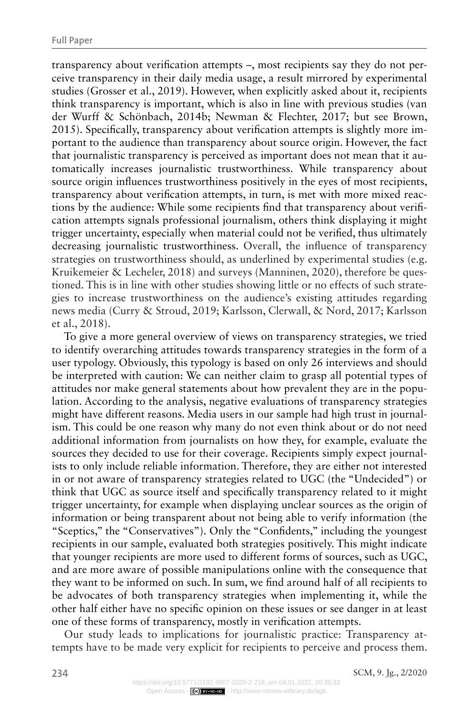transparency about verification attempts –, most recipients say they do not perceive transparency in their daily media usage, a result mirrored by experimental studies (Grosser et al., 2019). However, when explicitly asked about it, recipients think transparency is important, which is also in line with previous studies (van der Wurff & Schönbach, 2014b; Newman & Flechter, 2017; but see Brown, 2015). Specifically, transparency about verification attempts is slightly more important to the audience than transparency about source origin. However, the fact that journalistic transparency is perceived as important does not mean that it automatically increases journalistic trustworthiness. While transparency about source origin influences trustworthiness positively in the eyes of most recipients, transparency about verification attempts, in turn, is met with more mixed reactions by the audience: While some recipients find that transparency about verification attempts signals professional journalism, others think displaying it might trigger uncertainty, especially when material could not be verified, thus ultimately decreasing journalistic trustworthiness. Overall, the influence of transparency strategies on trustworthiness should, as underlined by experimental studies (e.g. Kruikemeier & Lecheler, 2018) and surveys (Manninen, 2020), therefore be questioned. This is in line with other studies showing little or no effects of such strategies to increase trustworthiness on the audience's existing attitudes regarding news media (Curry & Stroud, 2019; Karlsson, Clerwall, & Nord, 2017; Karlsson et al., 2018).

To give a more general overview of views on transparency strategies, we tried to identify overarching attitudes towards transparency strategies in the form of a user typology. Obviously, this typology is based on only 26 interviews and should be interpreted with caution: We can neither claim to grasp all potential types of attitudes nor make general statements about how prevalent they are in the population. According to the analysis, negative evaluations of transparency strategies might have different reasons. Media users in our sample had high trust in journalism. This could be one reason why many do not even think about or do not need additional information from journalists on how they, for example, evaluate the sources they decided to use for their coverage. Recipients simply expect journalists to only include reliable information. Therefore, they are either not interested in or not aware of transparency strategies related to UGC (the "Undecided") or think that UGC as source itself and specifically transparency related to it might trigger uncertainty, for example when displaying unclear sources as the origin of information or being transparent about not being able to verify information (the "Sceptics," the "Conservatives"). Only the "Confidents," including the youngest recipients in our sample, evaluated both strategies positively. This might indicate that younger recipients are more used to different forms of sources, such as UGC, and are more aware of possible manipulations online with the consequence that they want to be informed on such. In sum, we find around half of all recipients to be advocates of both transparency strategies when implementing it, while the other half either have no specific opinion on these issues or see danger in at least one of these forms of transparency, mostly in verification attempts.

Our study leads to implications for journalistic practice: Transparency attempts have to be made very explicit for recipients to perceive and process them.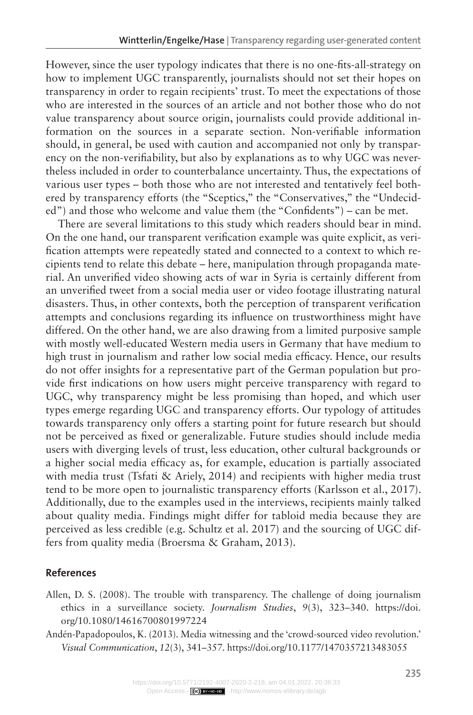However, since the user typology indicates that there is no one-fits-all-strategy on how to implement UGC transparently, journalists should not set their hopes on transparency in order to regain recipients' trust. To meet the expectations of those who are interested in the sources of an article and not bother those who do not value transparency about source origin, journalists could provide additional information on the sources in a separate section. Non-verifiable information should, in general, be used with caution and accompanied not only by transparency on the non-verifiability, but also by explanations as to why UGC was nevertheless included in order to counterbalance uncertainty. Thus, the expectations of various user types – both those who are not interested and tentatively feel bothered by transparency efforts (the "Sceptics," the "Conservatives," the "Undecided") and those who welcome and value them (the "Confidents") – can be met.

There are several limitations to this study which readers should bear in mind. On the one hand, our transparent verification example was quite explicit, as verification attempts were repeatedly stated and connected to a context to which recipients tend to relate this debate – here, manipulation through propaganda material. An unverified video showing acts of war in Syria is certainly different from an unverified tweet from a social media user or video footage illustrating natural disasters. Thus, in other contexts, both the perception of transparent verification attempts and conclusions regarding its influence on trustworthiness might have differed. On the other hand, we are also drawing from a limited purposive sample with mostly well-educated Western media users in Germany that have medium to high trust in journalism and rather low social media efficacy. Hence, our results do not offer insights for a representative part of the German population but provide first indications on how users might perceive transparency with regard to UGC, why transparency might be less promising than hoped, and which user types emerge regarding UGC and transparency efforts. Our typology of attitudes towards transparency only offers a starting point for future research but should not be perceived as fixed or generalizable. Future studies should include media users with diverging levels of trust, less education, other cultural backgrounds or a higher social media efficacy as, for example, education is partially associated with media trust (Tsfati & Ariely, 2014) and recipients with higher media trust tend to be more open to journalistic transparency efforts (Karlsson et al., 2017). Additionally, due to the examples used in the interviews, recipients mainly talked about quality media. Findings might differ for tabloid media because they are perceived as less credible (e.g. Schultz et al. 2017) and the sourcing of UGC differs from quality media (Broersma & Graham, 2013).

#### **References**

- Allen, D. S. (2008). The trouble with transparency. The challenge of doing journalism ethics in a surveillance society. *Journalism Studies*, *9*(3), 323–340. [https://doi.](https://doi.org/10.1080/14616700801997224) [org/10.1080/14616700801997224](https://doi.org/10.1080/14616700801997224)
- Andén-Papadopoulos, K. (2013). Media witnessing and the 'crowd-sourced video revolution.' *Visual Communication*, *12*(3), 341–357.<https://doi.org/10.1177/1470357213483055>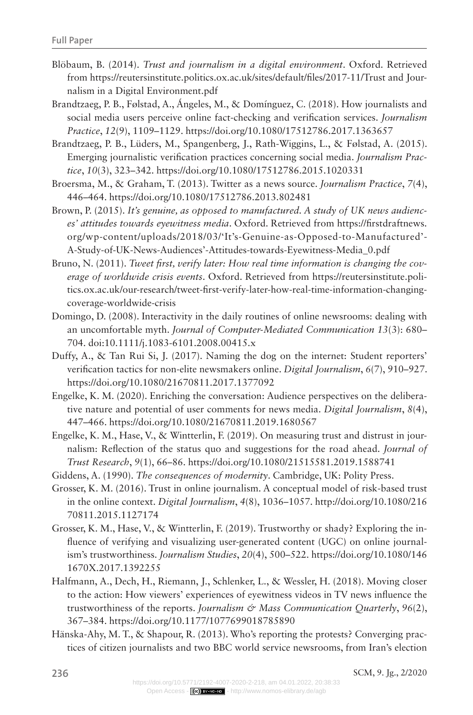- Blöbaum, B. (2014). *Trust and journalism in a digital environment*. Oxford. Retrieved from https://reutersinstitute.politics.ox.ac.uk/sites/default/files/2017-11/Trust and Journalism in a Digital Environment.pdf
- Brandtzaeg, P. B., Følstad, A., Ángeles, M., & Domínguez, C. (2018). How journalists and social media users perceive online fact-checking and verification services. *Journalism Practice*, *12*(9), 1109–1129.<https://doi.org/10.1080/17512786.2017.1363657>
- Brandtzaeg, P. B., Lüders, M., Spangenberg, J., Rath-Wiggins, L., & Følstad, A. (2015). Emerging journalistic verification practices concerning social media. *Journalism Practice*, *10*(3), 323–342.<https://doi.org/10.1080/17512786.2015.1020331>
- Broersma, M., & Graham, T. (2013). Twitter as a news source. *Journalism Practice*, *7*(4), 446–464. <https://doi.org/10.1080/17512786.2013.802481>
- Brown, P. (2015). *It's genuine, as opposed to manufactured. A study of UK news audiences' attitudes towards eyewitness media*. Oxford. Retrieved from https://firstdraftnews. org/wp-content/uploads/2018/03/'It's-Genuine-as-Opposed-to-Manufactured'- A-Study-of-UK-News-Audiences'-Attitudes-towards-Eyewitness-Media\_0.pdf
- Bruno, N. (2011). *Tweet first, verify later: How real time information is changing the coverage of worldwide crisis events*. Oxford. Retrieved from [https://reutersinstitute.poli](ttps://reutersinstitute.politics.ox.ac.uk/our-research/tweet-first-verify-later-how-real-time-inform)[tics.ox.ac.uk/our-research/tweet-first-verify-later-how-real-time-information-changing](ttps://reutersinstitute.politics.ox.ac.uk/our-research/tweet-first-verify-later-how-real-time-inform)[coverage-worldwide-crisis](ttps://reutersinstitute.politics.ox.ac.uk/our-research/tweet-first-verify-later-how-real-time-inform)
- Domingo, D. (2008). Interactivity in the daily routines of online newsrooms: dealing with an uncomfortable myth. *Journal of Computer-Mediated Communication 13*(3): 680– 704. doi:10.1111/j.1083-6101.2008.00415.x
- Duffy, A., & Tan Rui Si, J. (2017). Naming the dog on the internet: Student reporters' verification tactics for non-elite newsmakers online. *Digital Journalism*, *6*(7), 910–927. <https://doi.org/10.1080/21670811.2017.1377092>
- Engelke, K. M. (2020). Enriching the conversation: Audience perspectives on the deliberative nature and potential of user comments for news media. *Digital Journalism*, *8*(4), 447–466. <https://doi.org/10.1080/21670811.2019.1680567>
- Engelke, K. M., Hase, V., & Wintterlin, F. (2019). On measuring trust and distrust in journalism: Reflection of the status quo and suggestions for the road ahead. *Journal of Trust Research*, *9*(1), 66–86. <https://doi.org/10.1080/21515581.2019.1588741>
- Giddens, A. (1990). *The consequences of modernity*. Cambridge, UK: Polity Press.
- Grosser, K. M. (2016). Trust in online journalism. A conceptual model of risk-based trust in the online context. *Digital Journalism*, *4*(8), 1036–1057. [http://doi.org/10.1080/216](http://doi.org/10.1080/21670811.2015.1127174) [70811.2015.1127174](http://doi.org/10.1080/21670811.2015.1127174)
- Grosser, K. M., Hase, V., & Wintterlin, F. (2019). Trustworthy or shady? Exploring the influence of verifying and visualizing user-generated content (UGC) on online journalism's trustworthiness. *Journalism Studies*, *20*(4), 500–522. [https://doi.org/10.1080/146](https://doi.org/10.1080/1461670X.2017.1392255) [1670X.2017.1392255](https://doi.org/10.1080/1461670X.2017.1392255)
- Halfmann, A., Dech, H., Riemann, J., Schlenker, L., & Wessler, H. (2018). Moving closer to the action: How viewers' experiences of eyewitness videos in TV news influence the trustworthiness of the reports. *Journalism & Mass Communication Quarterly*, *96*(2), 367–384. <https://doi.org/10.1177/1077699018785890>
- Hänska-Ahy, M. T., & Shapour, R. (2013). Who's reporting the protests? Converging practices of citizen journalists and two BBC world service newsrooms, from Iran's election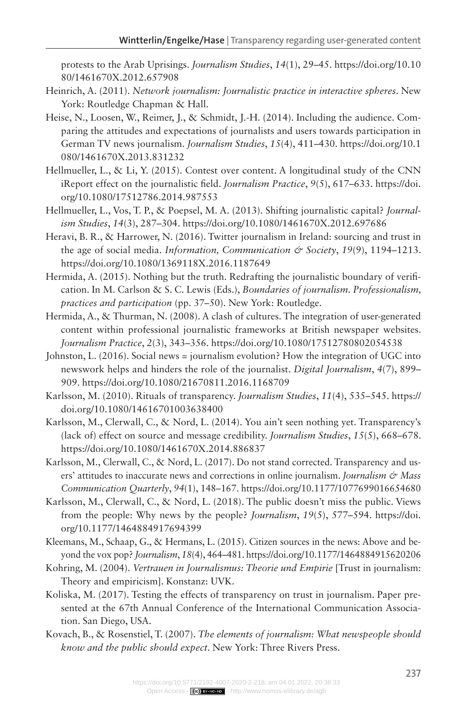protests to the Arab Uprisings. *Journalism Studies*, *14*(1), 29–45. [https://doi.org/10.10](https://doi.org/10.1080/1461670X.2012.657908) [80/1461670X.2012.657908](https://doi.org/10.1080/1461670X.2012.657908)

- Heinrich, A. (2011). *Network journalism: Journalistic practice in interactive spheres*. New York: Routledge Chapman & Hall.
- Heise, N., Loosen, W., Reimer, J., & Schmidt, J.-H. (2014). Including the audience. Comparing the attitudes and expectations of journalists and users towards participation in German TV news journalism. *Journalism Studies*, *15*(4), 411–430. [https://doi.org/10.1](https://doi.org/10.1080/1461670X.2013.831232) [080/1461670X.2013.831232](https://doi.org/10.1080/1461670X.2013.831232)
- Hellmueller, L., & Li, Y. (2015). Contest over content. A longitudinal study of the CNN iReport effect on the journalistic field. *Journalism Practice*, *9*(5), 617–633. [https://doi.](https://doi.org/10.1080/17512786.2014.987553) [org/10.1080/17512786.2014.987553](https://doi.org/10.1080/17512786.2014.987553)
- Hellmueller, L., Vos, T. P., & Poepsel, M. A. (2013). Shifting journalistic capital? *Journalism Studies*, *14*(3), 287–304. <https://doi.org/10.1080/1461670X.2012.697686>
- Heravi, B. R., & Harrower, N. (2016). Twitter journalism in Ireland: sourcing and trust in the age of social media. *Information, Communication & Society*, *19*(9), 1194–1213. <https://doi.org/10.1080/1369118X.2016.1187649>
- Hermida, A. (2015). Nothing but the truth. Redrafting the journalistic boundary of verification. In M. Carlson & S. C. Lewis (Eds.), *Boundaries of journalism. Professionalism, practices and participation* (pp. 37–50). New York: Routledge.
- Hermida, A., & Thurman, N. (2008). A clash of cultures. The integration of user-generated content within professional journalistic frameworks at British newspaper websites. *Journalism Practice*, *2*(3), 343–356.<https://doi.org/10.1080/17512780802054538>
- Johnston, L. (2016). Social news = journalism evolution? How the integration of UGC into newswork helps and hinders the role of the journalist. *Digital Journalism*, *4*(7), 899– 909.<https://doi.org/10.1080/21670811.2016.1168709>
- Karlsson, M. (2010). Rituals of transparency. *Journalism Studies*, *11*(4), 535–545. [https://](https://doi.org/10.1080/14616701003638400) [doi.org/10.1080/14616701003638400](https://doi.org/10.1080/14616701003638400)
- Karlsson, M., Clerwall, C., & Nord, L. (2014). You ain't seen nothing yet. Transparency's (lack of) effect on source and message credibility. *Journalism Studies*, *15*(5), 668–678. <https://doi.org/10.1080/1461670X.2014.886837>
- Karlsson, M., Clerwall, C., & Nord, L. (2017). Do not stand corrected. Transparency and users' attitudes to inaccurate news and corrections in online journalism. *Journalism & Mass Communication Quarterly*, *94*(1), 148–167.<https://doi.org/10.1177/1077699016654680>
- Karlsson, M., Clerwall, C., & Nord, L. (2018). The public doesn't miss the public. Views from the people: Why news by the people? *Journalism*, *19*(5), 577–594. [https://doi.](https://doi.org/10.1177/1464884917694399) [org/10.1177/1464884917694399](https://doi.org/10.1177/1464884917694399)
- Kleemans, M., Schaap, G., & Hermans, L. (2015). Citizen sources in the news: Above and beyond the vox pop? *Journalism*, *18*(4), 464–481.<https://doi.org/10.1177/1464884915620206>
- Kohring, M. (2004). *Vertrauen in Journalismus: Theorie und Empirie* [Trust in journalism: Theory and empiricism]. Konstanz: UVK.
- Koliska, M. (2017). Testing the effects of transparency on trust in journalism. Paper presented at the 67th Annual Conference of the International Communication Association. San Diego, USA.
- Kovach, B., & Rosenstiel, T. (2007). *The elements of journalism: What newspeople should know and the public should expect*. New York: Three Rivers Press.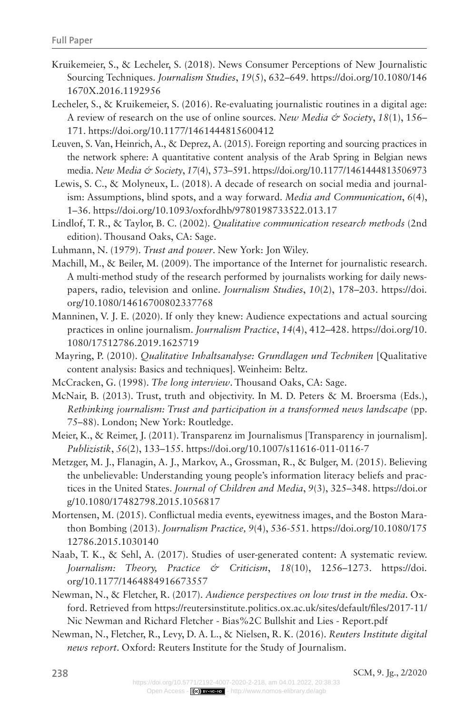- Kruikemeier, S., & Lecheler, S. (2018). News Consumer Perceptions of New Journalistic Sourcing Techniques. *Journalism Studies*, *19*(5), 632–649. [https://doi.org/10.1080/146](https://doi.org/10.1080/1461670X.2016.1192956) [1670X.2016.1192956](https://doi.org/10.1080/1461670X.2016.1192956)
- Lecheler, S., & Kruikemeier, S. (2016). Re-evaluating journalistic routines in a digital age: A review of research on the use of online sources. *New Media & Society*, *18*(1), 156– 171.<https://doi.org/10.1177/1461444815600412>
- Leuven, S. Van, Heinrich, A., & Deprez, A. (2015). Foreign reporting and sourcing practices in the network sphere: A quantitative content analysis of the Arab Spring in Belgian news media. *New Media & Society*, *17*(4), 573–591.<https://doi.org/10.1177/1461444813506973>
- Lewis, S. C., & Molyneux, L. (2018). A decade of research on social media and journalism: Assumptions, blind spots, and a way forward. *Media and Communication*, *6*(4), 1–36. <https://doi.org/10.1093/oxfordhb/9780198733522.013.17>
- Lindlof, T. R., & Taylor, B. C. (2002). *Qualitative communication research methods* (2nd edition). Thousand Oaks, CA: Sage.
- Luhmann, N. (1979). *Trust and power*. New York: Jon Wiley.
- Machill, M., & Beiler, M. (2009). The importance of the Internet for journalistic research. A multi-method study of the research performed by journalists working for daily newspapers, radio, television and online. *Journalism Studies*, *10*(2), 178–203. [https://doi.](https://doi.org/10.1080/14616700802337768) [org/10.1080/14616700802337768](https://doi.org/10.1080/14616700802337768)
- Manninen, V. J. E. (2020). If only they knew: Audience expectations and actual sourcing practices in online journalism. *Journalism Practice*, *14*(4), 412–428. [https://doi.org/10.](https://doi.org/10.1080/17512786.2019.1625719) [1080/17512786.2019.1625719](https://doi.org/10.1080/17512786.2019.1625719)
- Mayring, P. (2010). *Qualitative Inhaltsanalyse: Grundlagen und Techniken* [Qualitative content analysis: Basics and techniques]. Weinheim: Beltz.
- McCracken, G. (1998). *The long interview*. Thousand Oaks, CA: Sage.
- McNair, B. (2013). Trust, truth and objectivity. In M. D. Peters & M. Broersma (Eds.), *Rethinking journalism: Trust and participation in a transformed news landscape* (pp. 75–88). London; New York: Routledge.
- Meier, K., & Reimer, J. (2011). Transparenz im Journalismus [Transparency in journalism]. *Publizistik*, *56*(2), 133–155. <https://doi.org/10.1007/s11616-011-0116-7>
- Metzger, M. J., Flanagin, A. J., Markov, A., Grossman, R., & Bulger, M. (2015). Believing the unbelievable: Understanding young people's information literacy beliefs and practices in the United States. *Journal of Children and Media*, *9*(3), 325–348. [https://doi.or](https://doi.org/10.1080/17482798.2015.1056817) [g/10.1080/17482798.2015.1056817](https://doi.org/10.1080/17482798.2015.1056817)
- Mortensen, M. (2015). Conflictual media events, eyewitness images, and the Boston Marathon Bombing (2013). *Journalism Practice, 9*(4), 536-551. [https://doi.org/10.1080/175](https://doi.org/10.1080/17512786.2015.1030140) [12786.2015.1030140](https://doi.org/10.1080/17512786.2015.1030140)
- Naab, T. K., & Sehl, A. (2017). Studies of user-generated content: A systematic review. *Journalism: Theory, Practice & Criticism*, *18*(10), 1256–1273. [https://doi.](https://doi.org/10.1177/1464884916673557) [org/10.1177/1464884916673557](https://doi.org/10.1177/1464884916673557)
- Newman, N., & Fletcher, R. (2017). *Audience perspectives on low trust in the media*. Oxford. Retrieved from https://reutersinstitute.politics.ox.ac.uk/sites/default/files/2017-11/ Nic Newman and Richard Fletcher - Bias%2C Bullshit and Lies - Report.pdf
- Newman, N., Fletcher, R., Levy, D. A. L., & Nielsen, R. K. (2016). *Reuters Institute digital news report*. Oxford: Reuters Institute for the Study of Journalism.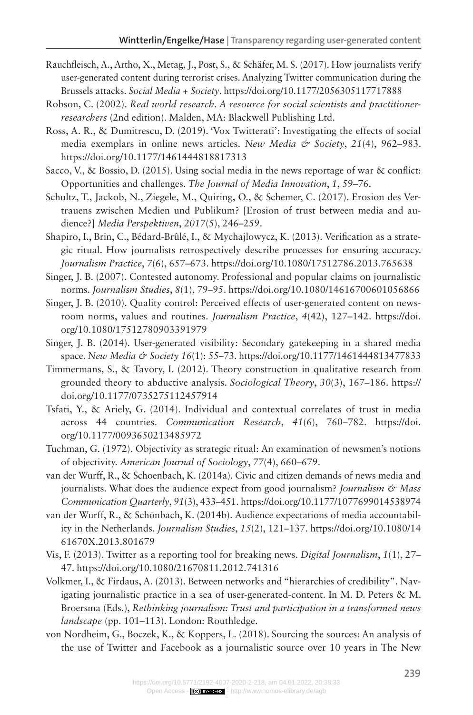- Rauchfleisch, A., Artho, X., Metag, J., Post, S., & Schäfer, M. S. (2017). How journalists verify user-generated content during terrorist crises. Analyzing Twitter communication during the Brussels attacks. *Social Media + Society*.<https://doi.org/10.1177/2056305117717888>
- Robson, C. (2002). *Real world research. A resource for social scientists and practitionerresearchers* (2nd edition). Malden, MA: Blackwell Publishing Ltd.
- Ross, A. R., & Dumitrescu, D. (2019). 'Vox Twitterati': Investigating the effects of social media exemplars in online news articles. *New Media & Society*, *21*(4), 962–983. <https://doi.org/10.1177/1461444818817313>
- Sacco, V., & Bossio, D. (2015). Using social media in the news reportage of war & conflict: Opportunities and challenges. *The Journal of Media Innovation*, *1*, 59–76.
- Schultz, T., Jackob, N., Ziegele, M., Quiring, O., & Schemer, C. (2017). Erosion des Vertrauens zwischen Medien und Publikum? [Erosion of trust between media and audience?] *Media Perspektiven*, *2017*(5), 246–259.

Shapiro, I., Brin, C., Bédard-Brûlé, I., & Mychajlowycz, K. (2013). Verification as a strategic ritual. How journalists retrospectively describe processes for ensuring accuracy. *Journalism Practice*, *7*(6), 657–673.<https://doi.org/10.1080/17512786.2013.765638>

Singer, J. B. (2007). Contested autonomy. Professional and popular claims on journalistic norms. *Journalism Studies*, *8*(1), 79–95.<https://doi.org/10.1080/14616700601056866>

- Singer, J. B. (2010). Quality control: Perceived effects of user-generated content on newsroom norms, values and routines. *Journalism Practice*, *4*(42), 127–142. [https://doi.](https://doi.org/10.1080/17512780903391979) [org/10.1080/17512780903391979](https://doi.org/10.1080/17512780903391979)
- Singer, J. B. (2014). User-generated visibility: Secondary gatekeeping in a shared media space. *New Media & Society 16*(1): 55–73.<https://doi.org/10.1177/1461444813477833>
- Timmermans, S., & Tavory, I. (2012). Theory construction in qualitative research from grounded theory to abductive analysis. *Sociological Theory*, *30*(3), 167–186. [https://](https://doi.org/10.1177/0735275112457914) [doi.org/10.1177/0735275112457914](https://doi.org/10.1177/0735275112457914)
- Tsfati, Y., & Ariely, G. (2014). Individual and contextual correlates of trust in media across 44 countries. *Communication Research*, *41*(6), 760–782. [https://doi.](https://doi.org/10.1177/0093650213485972) [org/10.1177/0093650213485972](https://doi.org/10.1177/0093650213485972)
- Tuchman, G. (1972). Objectivity as strategic ritual: An examination of newsmen's notions of objectivity. *American Journal of Sociology*, *77*(4), 660–679.
- van der Wurff, R., & Schoenbach, K. (2014a). Civic and citizen demands of news media and journalists. What does the audience expect from good journalism? *Journalism & Mass Communication Quarterly*, *91*(3), 433–451.<https://doi.org/10.1177/1077699014538974>
- van der Wurff, R., & Schönbach, K. (2014b). Audience expectations of media accountability in the Netherlands. *Journalism Studies*, *15*(2), 121–137. [https://doi.org/10.1080/14](https://doi.org/10.1080/1461670X.2013.801679) [61670X.2013.801679](https://doi.org/10.1080/1461670X.2013.801679)
- Vis, F. (2013). Twitter as a reporting tool for breaking news. *Digital Journalism*, *1*(1), 27– 47.<https://doi.org/10.1080/21670811.2012.741316>
- Volkmer, I., & Firdaus, A. (2013). Between networks and "hierarchies of credibility". Navigating journalistic practice in a sea of user-generated-content. In M. D. Peters & M. Broersma (Eds.), *Rethinking journalism: Trust and participation in a transformed news landscape* (pp. 101–113). London: Routhledge.
- von Nordheim, G., Boczek, K., & Koppers, L. (2018). Sourcing the sources: An analysis of the use of Twitter and Facebook as a journalistic source over 10 years in The New